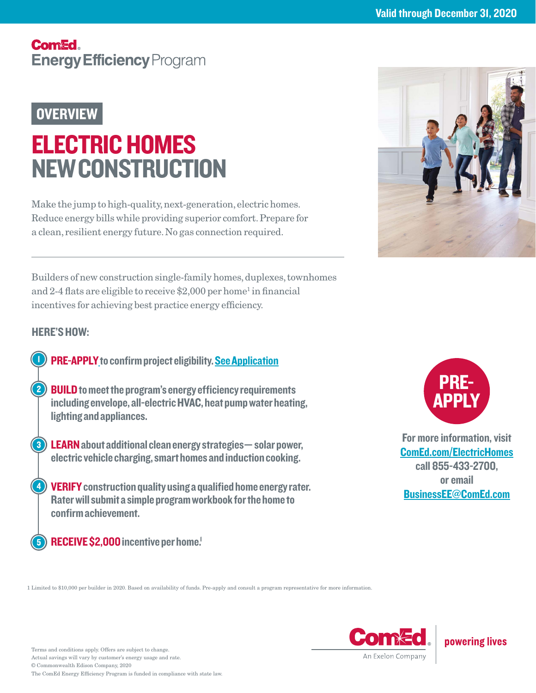## **Comed. Energy Efficiency Program**

## **OVERVIEW**

# ELECTRIC HOMES NEW CONSTRUCTION

Make the jump to high-quality, next-generation, electric homes. Reduce energy bills while providing superior comfort. Prepare for a clean, resilient energy future. No gas connection required.

Builders of new construction single-family homes, duplexes, townhomes and 2-4 flats are eligible to receive \$2,000 per home<sup>1</sup> in financial incentives for achieving best practice energy efficiency.

## HERE'S HOW:

- PRE-APPLY to confirm project eligibility. [See Application](#page-1-0)
- **2) BUILD** to meet the program's energy efficiency requirements including envelope, all-electric HVAC, heat pump water heating, lighting and appliances.
- **8) LEARN** about additional clean energy strategies solar power, electric vehicle charging, smart homes and induction cooking.
- **4) VERIFY** construction quality using a qualified home energy rater. Rater will submit a simple program workbook for the home to confirm achievement.
	- RECEIVE \$2,000 incentive per home.

1 Limited to \$10,000 per builder in 2020. Based on availability of funds. Pre-apply and consult a program representative for more information.



powering lives





For more information, visit [ComEd.com/](https://ComEd.com/ElectricHomes)ElectricHomes call 855-433-2700, or email [BusinessEE@ComEd.com](mailto:BusinessEE%40ComEd.com?subject=Electric%20Homes%20New%20Construction)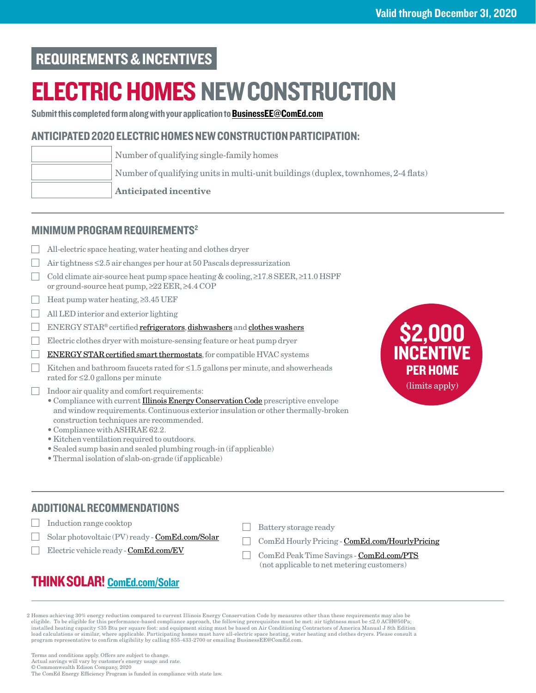## <span id="page-1-0"></span>REQUIREMENTS & INCENTIVES

# ELECTRIC HOMES NEW CONSTRUCTION

Submit this completed form along with your application to **BusinessEE@ComEd.com** 

### ANTICIPATED 2020 ELECTRIC HOMES NEW CONSTRUCTION PARTICIPATION:

| Number of qualifying single-family homes                                          |
|-----------------------------------------------------------------------------------|
| Number of qualifying units in multi-unit buildings (duplex, townhomes, 2-4 flats) |
| <b>Anticipated incentive</b>                                                      |

#### MINIMUM PROGRAM REQUIREMENTS2

- All-electric space heating, water heating and clothes dryer
- $\Box$ Air tightness  $\leq$ 2.5 air changes per hour at 50 Pascals depressurization
- Cold climate air-source heat pump space heating  $\&$  cooling,  $\geq$ 17.8 SEER,  $\geq$ 11.0 HSPF or ground-source heat pump,  $\geq$  22 EER,  $\geq$  4.4 COP
- $\Box$  Heat pump water heating,  $\geq 3.45 \text{ UEF}$
- All LED interior and exterior lighting
- ENERGY STAR® certified [refrigerators,](https://www.energystar.gov/productfinder/product/certified-residential-refrigerators/results) [dishwashers](https://www.energystar.gov/productfinder/product/certified-residential-dishwashers/results) and [clothes washers](https://www.energystar.gov/productfinder/product/certified-clothes-washers/results)
- Electric clothes dryer with moisture-sensing feature or heat pump dryer
- $\Box$ [ENERGY STAR certified smart thermostats,](https://www.energystar.gov/productfinder/product/certified-connected-thermostats/results) for compatible HVAC systems
- Kitchen and bathroom faucets rated for  $\leq$  1.5 gallons per minute, and showerheads rated for  $\leq$  2.0 gallons per minute
- $\Box$  Indoor air quality and comfort requirements:
	- Compliance with current **Illinois Energy Conservation Code** prescriptive envelope and window requirements. Continuous exterior insulation or other thermally-broken construction techniques are recommended.
	- Compliance with ASHRAE 62.2.
	- Kitchen ventilation required to outdoors.
	- Sealed sump basin and sealed plumbing rough-in (if applicable)
	- Thermal isolation of slab-on-grade (if applicable)

## ADDITIONAL RECOMMENDATIONS

- **The Contract** Induction range cooktop
	- Solar photovoltaic (PV) ready [ComEd.com/Solar](https://www.comed.com/SmartEnergy/MyGreenPowerConnection/Pages/SolarEnergy.aspx?utm_source=VanityURL&utm_medium=VanityURL&utm_campaign=Solar&utm_content=Solar)
	- Electric vehicle ready - [ComEd.com/EV](https://www.comed.com/SmartEnergy/InnovationTechnology/Pages/ElectricVehiclesInfo.aspx)
- Battery storage ready
- ComEd Hourly Pricing [ComEd.com/HourlyPricing](https://hourlypricing.comed.com)
- ComEd Peak Time Savings [ComEd.com/PTS](https://www.comed.com/WaysToSave/ForYourHome/Pages/PeakTimeSavings.aspx?utm_source=PTSVanity&utm_medium=Vanity&utm_campaign=PTSVanityURL) (not applicable to net metering customers)

## THINK SOLAR! [ComEd.com/Solar](https://www.comed.com/SmartEnergy/MyGreenPowerConnection/Pages/SolarEnergy.aspx?utm_source=VanityURL&utm_medium=VanityURL&utm_campaign=Solar&utm_content=Solar)

2 Homes achieving 30% energy reduction compared to current Illinois Energy Conservation Code by measures other than these requirements may also be<br>cligible. To be eligible for this performance-based compliance approach, t installed heating capacity ≤35 Btu per square foot: and equipment sizing must be based on Air Conditioning Contractors of America Manual J 8th Edition load calculations or similar, where applicable. Participating homes must have all-electric space heating, water heating and clothes dryers. Please consult a<br>program representative to confirm eligibility by calling 855-433-

Terms and conditions apply. Offers are subject to change. Actual savings will vary by customer's energy usage and rate. © Commonwealth Edison Company, 2020 The ComEd Energy Efficiency Program is funded in compliance with state law.

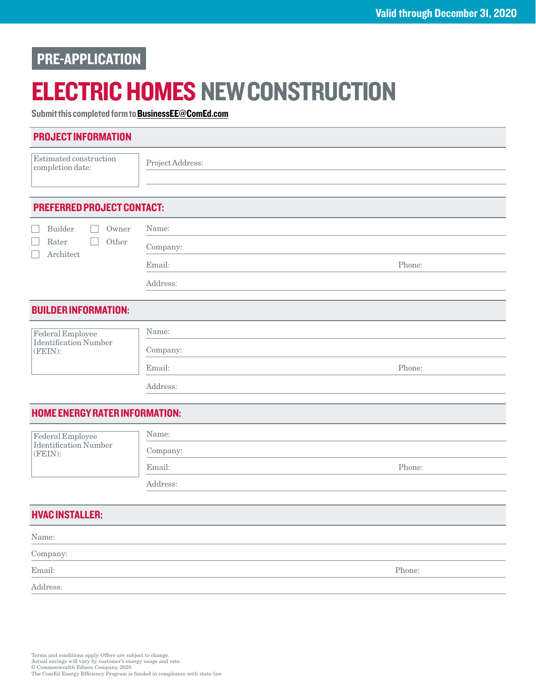## PRE-APPLICATION

# ELECTRIC HOMES NEW CONSTRUCTION

Submit this completed form to [BusinessEE@ComEd.com](mailto:BusinessEE%40ComEd.com?subject=)

| <b>PROJECT INFORMATION</b>                       |                  |        |  |
|--------------------------------------------------|------------------|--------|--|
| Estimated construction<br>completion date:       | Project Address: |        |  |
|                                                  |                  |        |  |
|                                                  |                  |        |  |
| <b>PREFERRED PROJECT CONTACT:</b>                |                  |        |  |
| <b>Builder</b><br>Owner                          | Name:            |        |  |
| Rater<br>Other<br>Architect                      | Company:         |        |  |
|                                                  | Email:           | Phone: |  |
|                                                  | Address:         |        |  |
| <b>BUILDER INFORMATION:</b>                      |                  |        |  |
|                                                  |                  |        |  |
| Federal Employee<br>Identification Number        | Name:            |        |  |
| (FEIN):                                          | Company:         |        |  |
|                                                  | Email:           | Phone: |  |
|                                                  | Address:         |        |  |
| <b>HOME ENERGY RATER INFORMATION:</b>            |                  |        |  |
|                                                  | Name:            |        |  |
| <b>Federal Employee</b><br>Identification Number | Company:         |        |  |
| (FEIN):                                          | Email:           | Phone: |  |
|                                                  | Address:         |        |  |
|                                                  |                  |        |  |
| <b>HVAC INSTALLER:</b>                           |                  |        |  |
| Name:                                            |                  |        |  |
| Company:                                         |                  |        |  |

Email: Phone: Phone: Phone: Phone: Phone: Phone: Phone: Phone: Phone: Phone: Phone: Phone: Phone: Phone: Phone: Phone: Phone: Phone: Phone: Phone: Phone: Phone: Phone: Phone: Phone: Phone: Phone: Phone: Phone: Phone: Phone

Address: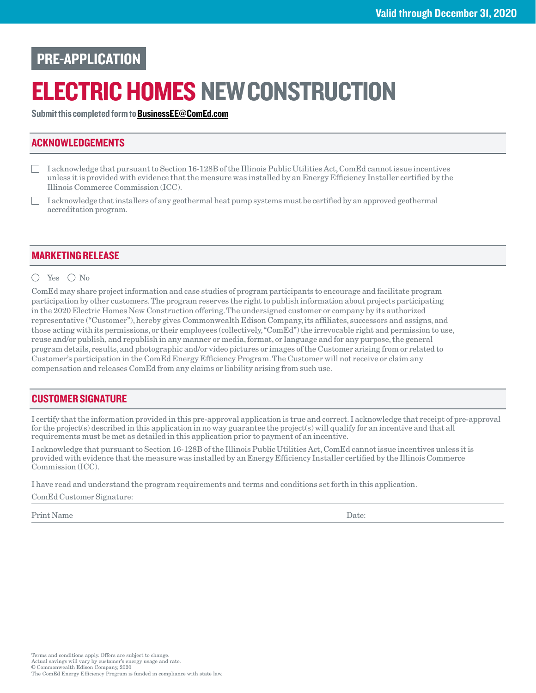## PRE-APPLICATION

# ELECTRIC HOMES NEW CONSTRUCTION

Submit this completed form to [BusinessEE@ComEd.com](mailto:BusinessEE%40ComEd.com?subject=)

### ACKNOWLEDGEMENTS

- I acknowledge that pursuant to Section 16-128B of the Illinois Public Utilities Act, ComEd cannot issue incentives unless it is provided with evidence that the measure was installed by an Energy Efficiency Installer certified by the Illinois Commerce Commission (ICC).
- I acknowledge that installers of any geothermal heat pump systems must be certified by an approved geothermal accreditation program.

#### MARKETING RELEASE

#### $\bigcap$  Yes  $\bigcap$  No

ComEd may share project information and case studies of program participants to encourage and facilitate program participation by other customers. The program reserves the right to publish information about projects participating in the 2020 Electric Homes New Construction offering. The undersigned customer or company by its authorized representative ("Customer"), hereby gives Commonwealth Edison Company, its affiliates, successors and assigns, and those acting with its permissions, or their employees (collectively, "ComEd") the irrevocable right and permission to use, reuse and/or publish, and republish in any manner or media, format, or language and for any purpose, the general program details, results, and photographic and/or video pictures or images of the Customer arising from or related to Customer's participation in the ComEd Energy Efficiency Program. The Customer will not receive or claim any compensation and releases ComEd from any claims or liability arising from such use.

#### CUSTOMER SIGNATURE

I certify that the information provided in this pre-approval application is true and correct. I acknowledge that receipt of pre-approval for the project(s) described in this application in no way guarantee the project(s) will qualify for an incentive and that all requirements must be met as detailed in this application prior to payment of an incentive.

I acknowledge that pursuant to Section 16-128B of the Illinois Public Utilities Act, ComEd cannot issue incentives unless it is provided with evidence that the measure was installed by an Energy Efficiency Installer certified by the Illinois Commerce Commission (ICC).

I have read and understand the program requirements and terms and conditions set forth in this application.

ComEd Customer Signature:

Print Name Date: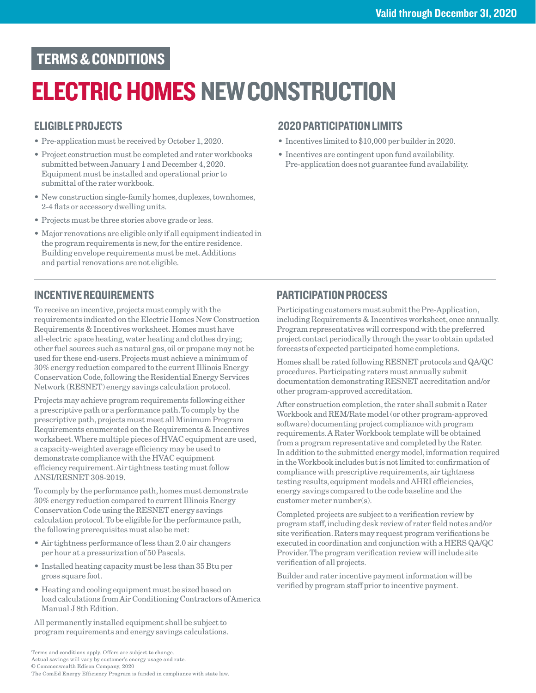## TERMS & CONDITIONS

# ELECTRIC HOMES NEW CONSTRUCTION

## ELIGIBLE PROJECTS

- Pre-application must be received by October 1, 2020.
- Project construction must be completed and rater workbooks submitted between January 1 and December 4, 2020. Equipment must be installed and operational prior to submittal of the rater workbook.
- New construction single-family homes, duplexes, townhomes, 2-4 flats or accessory dwelling units.
- Projects must be three stories above grade or less.
- Major renovations are eligible only if all equipment indicated in the program requirements is new, for the entire residence. Building envelope requirements must be met. Additions and partial renovations are not eligible.

## 2020 PARTICIPATION LIMITS

- Incentives limited to \$10,000 per builder in 2020.
- Incentives are contingent upon fund availability. Pre-application does not guarantee fund availability.

## INCENTIVE REQUIREMENTS

To receive an incentive, projects must comply with the requirements indicated on the Electric Homes New Construction Requirements & Incentives worksheet. Homes must have all-electric space heating, water heating and clothes drying; other fuel sources such as natural gas, oil or propane may not be used for these end-users. Projects must achieve a minimum of 30% energy reduction compared to the current Illinois Energy Conservation Code, following the Residential Energy Services Network (RESNET) energy savings calculation protocol.

Projects may achieve program requirements following either a prescriptive path or a performance path. To comply by the prescriptive path, projects must meet all Minimum Program Requirements enumerated on the Requirements & Incentives worksheet. Where multiple pieces of HVAC equipment are used, a capacity-weighted average efficiency may be used to demonstrate compliance with the HVAC equipment efficiency requirement. Air tightness testing must follow ANSI/RESNET 308-2019.

To comply by the performance path, homes must demonstrate 30% energy reduction compared to current Illinois Energy Conservation Code using the RESNET energy savings calculation protocol. To be eligible for the performance path, the following prerequisites must also be met:

- Air tightness performance of less than 2.0 air changers per hour at a pressurization of 50 Pascals.
- Installed heating capacity must be less than 35 Btu per gross square foot.
- Heating and cooling equipment must be sized based on load calculations from Air Conditioning Contractors of America Manual J 8th Edition.

All permanently installed equipment shall be subject to program requirements and energy savings calculations.

## PARTICIPATION PROCESS

Participating customers must submit the Pre-Application, including Requirements & Incentives worksheet, once annually. Program representatives will correspond with the preferred project contact periodically through the year to obtain updated forecasts of expected participated home completions.

Homes shall be rated following RESNET protocols and QA/QC procedures. Participating raters must annually submit documentation demonstrating RESNET accreditation and/or other program-approved accreditation.

After construction completion, the rater shall submit a Rater Workbook and REM/Rate model (or other program-approved software) documenting project compliance with program requirements. A Rater Workbook template will be obtained from a program representative and completed by the Rater. In addition to the submitted energy model, information required in the Workbook includes but is not limited to: confirmation of compliance with prescriptive requirements, air tightness testing results, equipment models and AHRI efficiencies, energy savings compared to the code baseline and the customer meter number(s).

Completed projects are subject to a verification review by program staff, including desk review of rater field notes and/or site verification. Raters may request program verifications be executed in coordination and conjunction with a HERS QA/QC Provider. The program verification review will include site verification of all projects.

Builder and rater incentive payment information will be verified by program staff prior to incentive payment.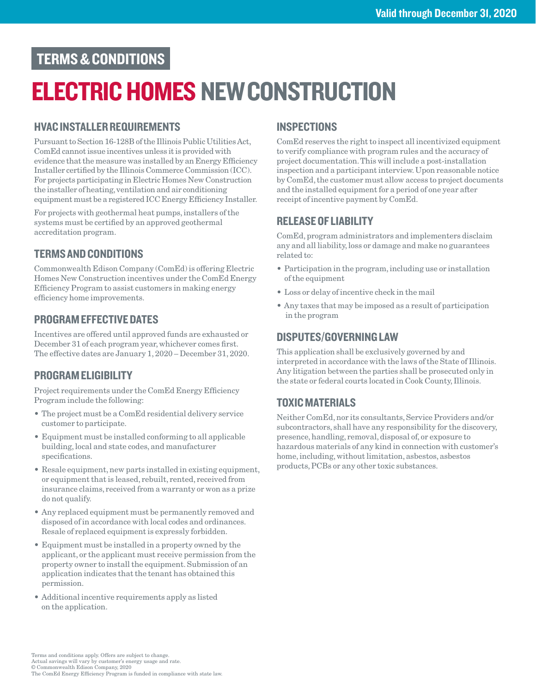## TERMS & CONDITIONS

# ELECTRIC HOMES NEW CONSTRUCTION

### HVAC INSTALLER REQUIREMENTS

Pursuant to Section 16-128B of the Illinois Public Utilities Act, ComEd cannot issue incentives unless it is provided with evidence that the measure was installed by an Energy Efficiency Installer certified by the Illinois Commerce Commission (ICC). For projects participating in Electric Homes New Construction the installer of heating, ventilation and air conditioning equipment must be a registered ICC Energy Efficiency Installer.

For projects with geothermal heat pumps, installers of the systems must be certified by an approved geothermal accreditation program.

## TERMS AND CONDITIONS

Commonwealth Edison Company (ComEd) is offering Electric Homes New Construction incentives under the ComEd Energy Efficiency Program to assist customers in making energy efficiency home improvements.

### PROGRAM EFFECTIVE DATES

Incentives are offered until approved funds are exhausted or December 31 of each program year, whichever comes first. The effective dates are January 1, 2020 – December 31, 2020.

### PROGRAM ELIGIBILITY

Project requirements under the ComEd Energy Efficiency Program include the following:

- The project must be a ComEd residential delivery service customer to participate.
- Equipment must be installed conforming to all applicable building, local and state codes, and manufacturer specifications.
- Resale equipment, new parts installed in existing equipment, or equipment that is leased, rebuilt, rented, received from insurance claims, received from a warranty or won as a prize do not qualify.
- Any replaced equipment must be permanently removed and disposed of in accordance with local codes and ordinances. Resale of replaced equipment is expressly forbidden.
- Equipment must be installed in a property owned by the applicant, or the applicant must receive permission from the property owner to install the equipment. Submission of an application indicates that the tenant has obtained this permission.
- Additional incentive requirements apply as listed on the application.

## **INSPECTIONS**

ComEd reserves the right to inspect all incentivized equipment to verify compliance with program rules and the accuracy of project documentation. This will include a post-installation inspection and a participant interview. Upon reasonable notice by ComEd, the customer must allow access to project documents and the installed equipment for a period of one year after receipt of incentive payment by ComEd.

### RELEASE OF LIABILITY

ComEd, program administrators and implementers disclaim any and all liability, loss or damage and make no guarantees related to:

- Participation in the program, including use or installation of the equipment
- Loss or delay of incentive check in the mail
- Any taxes that may be imposed as a result of participation in the program

#### DISPUTES/GOVERNING LAW

This application shall be exclusively governed by and interpreted in accordance with the laws of the State of Illinois. Any litigation between the parties shall be prosecuted only in the state or federal courts located in Cook County, Illinois.

## TOXIC MATERIALS

Neither ComEd, nor its consultants, Service Providers and/or subcontractors, shall have any responsibility for the discovery, presence, handling, removal, disposal of, or exposure to hazardous materials of any kind in connection with customer's home, including, without limitation, asbestos, asbestos products, PCBs or any other toxic substances.